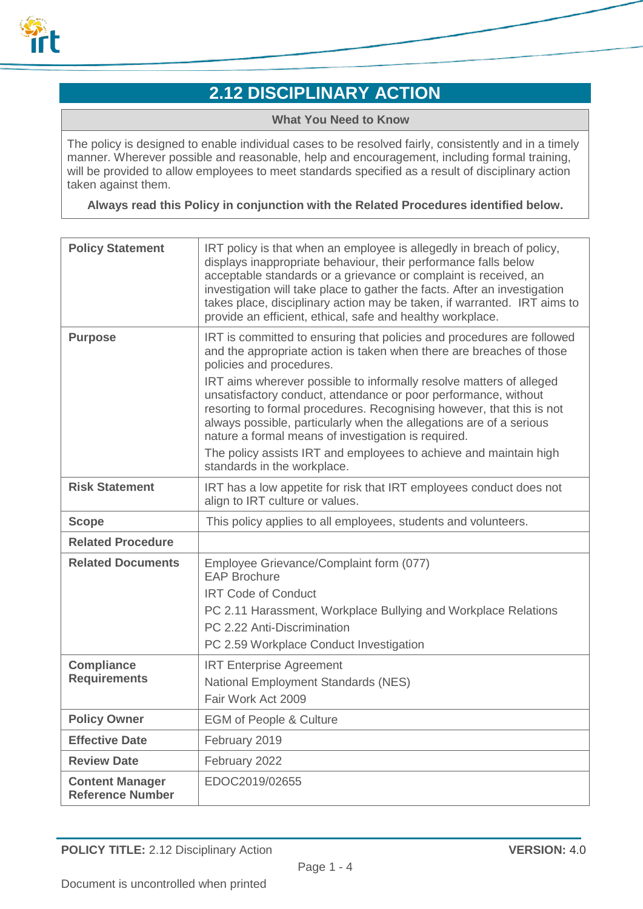

# **2.12 DISCIPLINARY ACTION**

#### **What You Need to Know**

The policy is designed to enable individual cases to be resolved fairly, consistently and in a timely manner. Wherever possible and reasonable, help and encouragement, including formal training, will be provided to allow employees to meet standards specified as a result of disciplinary action taken against them.

**Always read this Policy in conjunction with the Related Procedures identified below.**

| <b>Policy Statement</b>                           | IRT policy is that when an employee is allegedly in breach of policy,<br>displays inappropriate behaviour, their performance falls below<br>acceptable standards or a grievance or complaint is received, an<br>investigation will take place to gather the facts. After an investigation<br>takes place, disciplinary action may be taken, if warranted. IRT aims to<br>provide an efficient, ethical, safe and healthy workplace. |
|---------------------------------------------------|-------------------------------------------------------------------------------------------------------------------------------------------------------------------------------------------------------------------------------------------------------------------------------------------------------------------------------------------------------------------------------------------------------------------------------------|
| <b>Purpose</b>                                    | IRT is committed to ensuring that policies and procedures are followed<br>and the appropriate action is taken when there are breaches of those<br>policies and procedures.<br>IRT aims wherever possible to informally resolve matters of alleged                                                                                                                                                                                   |
|                                                   | unsatisfactory conduct, attendance or poor performance, without<br>resorting to formal procedures. Recognising however, that this is not<br>always possible, particularly when the allegations are of a serious<br>nature a formal means of investigation is required.                                                                                                                                                              |
|                                                   | The policy assists IRT and employees to achieve and maintain high<br>standards in the workplace.                                                                                                                                                                                                                                                                                                                                    |
| <b>Risk Statement</b>                             | IRT has a low appetite for risk that IRT employees conduct does not<br>align to IRT culture or values.                                                                                                                                                                                                                                                                                                                              |
| <b>Scope</b>                                      | This policy applies to all employees, students and volunteers.                                                                                                                                                                                                                                                                                                                                                                      |
| <b>Related Procedure</b>                          |                                                                                                                                                                                                                                                                                                                                                                                                                                     |
| <b>Related Documents</b>                          | Employee Grievance/Complaint form (077)<br><b>EAP Brochure</b>                                                                                                                                                                                                                                                                                                                                                                      |
|                                                   | <b>IRT Code of Conduct</b>                                                                                                                                                                                                                                                                                                                                                                                                          |
|                                                   | PC 2.11 Harassment, Workplace Bullying and Workplace Relations                                                                                                                                                                                                                                                                                                                                                                      |
|                                                   | PC 2.22 Anti-Discrimination                                                                                                                                                                                                                                                                                                                                                                                                         |
|                                                   | PC 2.59 Workplace Conduct Investigation                                                                                                                                                                                                                                                                                                                                                                                             |
| <b>Compliance</b><br><b>Requirements</b>          | <b>IRT Enterprise Agreement</b>                                                                                                                                                                                                                                                                                                                                                                                                     |
|                                                   | <b>National Employment Standards (NES)</b><br>Fair Work Act 2009                                                                                                                                                                                                                                                                                                                                                                    |
| <b>Policy Owner</b>                               | <b>EGM of People &amp; Culture</b>                                                                                                                                                                                                                                                                                                                                                                                                  |
| <b>Effective Date</b>                             | February 2019                                                                                                                                                                                                                                                                                                                                                                                                                       |
| <b>Review Date</b>                                | February 2022                                                                                                                                                                                                                                                                                                                                                                                                                       |
| <b>Content Manager</b><br><b>Reference Number</b> | EDOC2019/02655                                                                                                                                                                                                                                                                                                                                                                                                                      |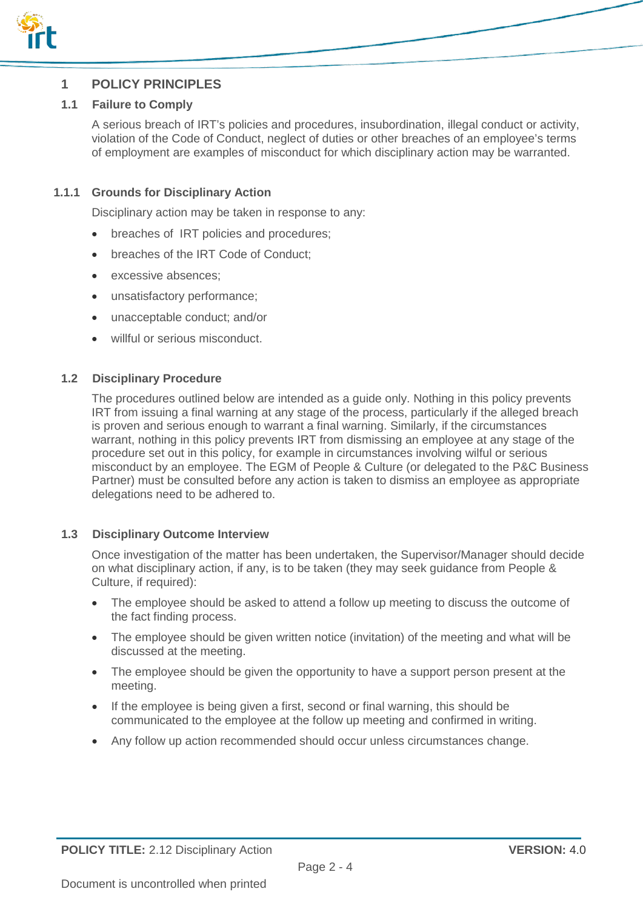

## **1 POLICY PRINCIPLES**

#### **1.1 Failure to Comply**

A serious breach of IRT's policies and procedures, insubordination, illegal conduct or activity, violation of the Code of Conduct, neglect of duties or other breaches of an employee's terms of employment are examples of misconduct for which disciplinary action may be warranted.

#### **1.1.1 Grounds for Disciplinary Action**

Disciplinary action may be taken in response to any:

- breaches of IRT policies and procedures;
- breaches of the IRT Code of Conduct;
- excessive absences:
- unsatisfactory performance;
- unacceptable conduct; and/or
- willful or serious misconduct.

#### **1.2 Disciplinary Procedure**

The procedures outlined below are intended as a guide only. Nothing in this policy prevents IRT from issuing a final warning at any stage of the process, particularly if the alleged breach is proven and serious enough to warrant a final warning. Similarly, if the circumstances warrant, nothing in this policy prevents IRT from dismissing an employee at any stage of the procedure set out in this policy, for example in circumstances involving wilful or serious misconduct by an employee. The EGM of People & Culture (or delegated to the P&C Business Partner) must be consulted before any action is taken to dismiss an employee as appropriate delegations need to be adhered to.

#### **1.3 Disciplinary Outcome Interview**

Once investigation of the matter has been undertaken, the Supervisor/Manager should decide on what disciplinary action, if any, is to be taken (they may seek guidance from People & Culture, if required):

- The employee should be asked to attend a follow up meeting to discuss the outcome of the fact finding process.
- The employee should be given written notice (invitation) of the meeting and what will be discussed at the meeting.
- The employee should be given the opportunity to have a support person present at the meeting.
- If the employee is being given a first, second or final warning, this should be communicated to the employee at the follow up meeting and confirmed in writing.
- Any follow up action recommended should occur unless circumstances change.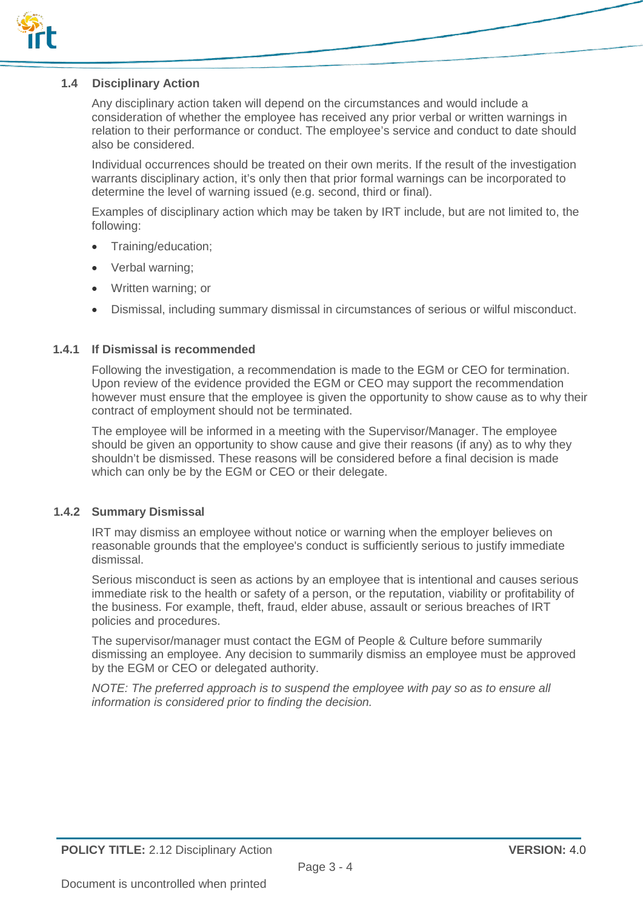

#### **1.4 Disciplinary Action**

Any disciplinary action taken will depend on the circumstances and would include a consideration of whether the employee has received any prior verbal or written warnings in relation to their performance or conduct. The employee's service and conduct to date should also be considered.

Individual occurrences should be treated on their own merits. If the result of the investigation warrants disciplinary action, it's only then that prior formal warnings can be incorporated to determine the level of warning issued (e.g. second, third or final).

Examples of disciplinary action which may be taken by IRT include, but are not limited to, the following:

- Training/education;
- Verbal warning;
- Written warning; or
- Dismissal, including summary dismissal in circumstances of serious or wilful misconduct.

#### **1.4.1 If Dismissal is recommended**

Following the investigation, a recommendation is made to the EGM or CEO for termination. Upon review of the evidence provided the EGM or CEO may support the recommendation however must ensure that the employee is given the opportunity to show cause as to why their contract of employment should not be terminated.

The employee will be informed in a meeting with the Supervisor/Manager. The employee should be given an opportunity to show cause and give their reasons (if any) as to why they shouldn't be dismissed. These reasons will be considered before a final decision is made which can only be by the EGM or CEO or their delegate.

#### **1.4.2 Summary Dismissal**

IRT may dismiss an employee without notice or warning when the employer believes on reasonable grounds that the employee's conduct is sufficiently serious to justify immediate dismissal.

Serious misconduct is seen as actions by an employee that is intentional and causes serious immediate risk to the health or safety of a person, or the reputation, viability or profitability of the business. For example, theft, fraud, elder abuse, assault or serious breaches of IRT policies and procedures.

The supervisor/manager must contact the EGM of People & Culture before summarily dismissing an employee. Any decision to summarily dismiss an employee must be approved by the EGM or CEO or delegated authority.

*NOTE: The preferred approach is to suspend the employee with pay so as to ensure all information is considered prior to finding the decision.*